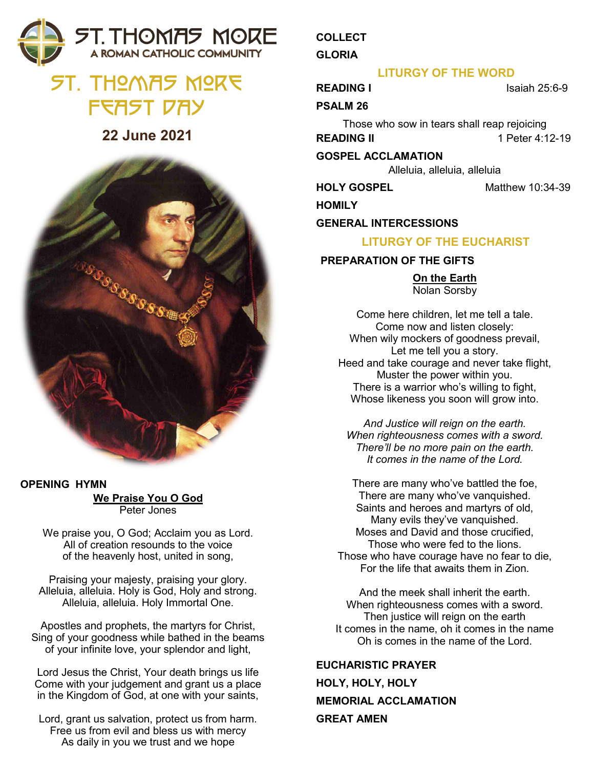## **5T. THOMAS MORE** A ROMAN CATHOLIC COMMUNITY

# St. Thomas More FFAST DAY

## **22 June 2021**



#### **OPENING HYMN We Praise You O God** Peter Jones

We praise you, O God; Acclaim you as Lord. All of creation resounds to the voice of the heavenly host, united in song,

Praising your majesty, praising your glory. Alleluia, alleluia. Holy is God, Holy and strong. Alleluia, alleluia. Holy Immortal One.

Apostles and prophets, the martyrs for Christ, Sing of your goodness while bathed in the beams of your infinite love, your splendor and light,

Lord Jesus the Christ, Your death brings us life Come with your judgement and grant us a place in the Kingdom of God, at one with your saints,

Lord, grant us salvation, protect us from harm. Free us from evil and bless us with mercy As daily in you we trust and we hope

## **COLLECT**

**GLORIA**

### **LITURGY OF THE WORD**

**READING I** Isaiah 25:6-9

#### **PSALM 26**

Those who sow in tears shall reap rejoicing **READING II** 1 Peter 4:12-19

#### **GOSPEL ACCLAMATION**

Alleluia, alleluia, alleluia

**HOLY GOSPEL** Matthew 10:34-39

**HOMILY**

#### **GENERAL INTERCESSIONS**

### **LITURGY OF THE EUCHARIST**

#### **PREPARATION OF THE GIFTS**

**On the Earth** Nolan Sorsby

Come here children, let me tell a tale. Come now and listen closely: When wily mockers of goodness prevail, Let me tell you a story. Heed and take courage and never take flight, Muster the power within you. There is a warrior who's willing to fight, Whose likeness you soon will grow into.

*And Justice will reign on the earth. When righteousness comes with a sword. There'll be no more pain on the earth. It comes in the name of the Lord.*

There are many who've battled the foe, There are many who've vanquished. Saints and heroes and martyrs of old, Many evils they've vanquished. Moses and David and those crucified, Those who were fed to the lions. Those who have courage have no fear to die, For the life that awaits them in Zion.

And the meek shall inherit the earth. When righteousness comes with a sword. Then justice will reign on the earth It comes in the name, oh it comes in the name Oh is comes in the name of the Lord.

**EUCHARISTIC PRAYER HOLY, HOLY, HOLY MEMORIAL ACCLAMATION GREAT AMEN**